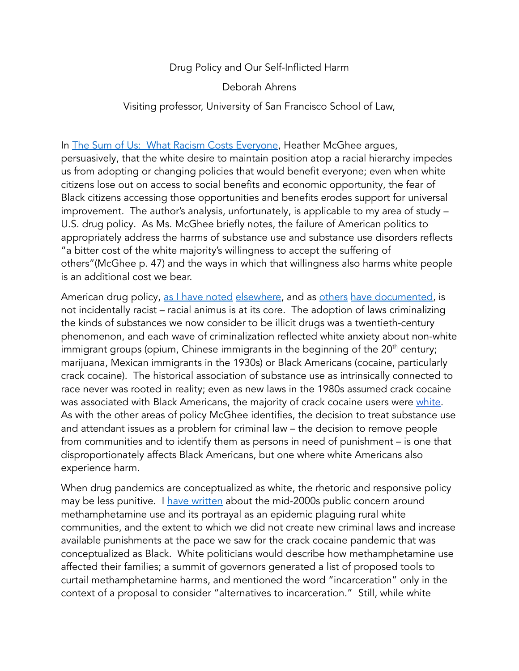## Drug Policy and Our Self-Inflicted Harm

Deborah Ahrens

## Visiting professor, University of San Francisco School of Law,

In The Sum of Us: What Racism Costs [Everyone](https://www.penguinrandomhouse.com/books/564989/the-sum-of-us-by-heather-mcghee/), Heather McGhee argues, persuasively, that the white desire to maintain position atop a racial hierarchy impedes us from adopting or changing policies that would benefit everyone; even when white citizens lose out on access to social benefits and economic opportunity, the fear of Black citizens accessing those opportunities and benefits erodes support for universal improvement. The author's analysis, unfortunately, is applicable to my area of study – U.S. drug policy. As Ms. McGhee briefly notes, the failure of American politics to appropriately address the harms of substance use and substance use disorders reflects "a bitter cost of the white majority's willingness to accept the suffering of others"(McGhee p. 47) and the ways in which that willingness also harms white people is an additional cost we bear.

American drug policy, as I have [noted](https://digitalcommons.law.seattleu.edu/faculty/4/) [elsewhere,](https://digitalcommons.law.seattleu.edu/faculty/115/) and as [others](https://drugpolicy.org/issues/race-and-drug-war) have [documented,](https://www.aclu.org/other/american-drug-laws-new-jim-crow) is not incidentally racist – racial animus is at its core. The adoption of laws criminalizing the kinds of substances we now consider to be illicit drugs was a twentieth-century phenomenon, and each wave of criminalization reflected white anxiety about non-white immigrant groups (opium, Chinese immigrants in the beginning of the 20<sup>th</sup> century; marijuana, Mexican immigrants in the 1930s) or Black Americans (cocaine, particularly crack cocaine). The historical association of substance use as intrinsically connected to race never was rooted in reality; even as new laws in the 1980s assumed crack cocaine was associated with Black Americans, the majority of crack cocaine users were [white](https://talbottcampus.com/crack-statistics/). As with the other areas of policy McGhee identifies, the decision to treat substance use and attendant issues as a problem for criminal law – the decision to remove people from communities and to identify them as persons in need of punishment – is one that disproportionately affects Black Americans, but one where white Americans also experience harm.

When drug pandemics are conceptualized as white, the rhetoric and responsive policy may be less punitive. I have [written](https://digitalcommons.law.seattleu.edu/faculty/4/) about the mid-2000s public concern around methamphetamine use and its portrayal as an epidemic plaguing rural white communities, and the extent to which we did not create new criminal laws and increase available punishments at the pace we saw for the crack cocaine pandemic that was conceptualized as Black. White politicians would describe how methamphetamine use affected their families; a summit of governors generated a list of proposed tools to curtail methamphetamine harms, and mentioned the word "incarceration" only in the context of a proposal to consider "alternatives to incarceration." Still, while white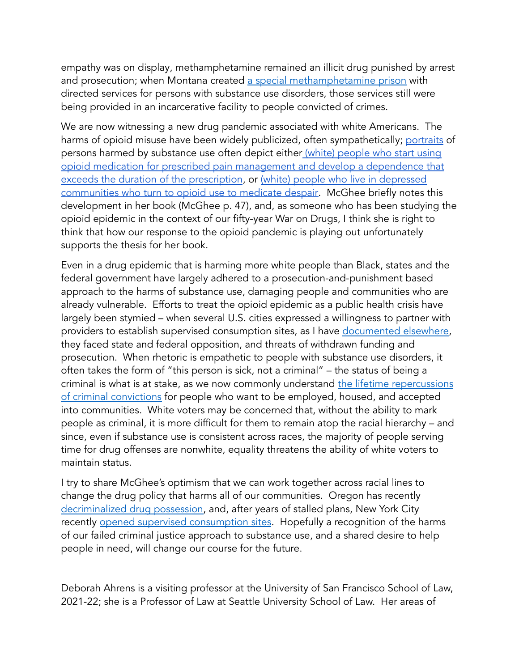empathy was on display, methamphetamine remained an illicit drug punished by arrest and prosecution; when Montana created a special [methamphetamine](https://www.npr.org/transcripts/5703596) prison with directed services for persons with substance use disorders, those services still were being provided in an incarcerative facility to people convicted of crimes.

We are now witnessing a new drug pandemic associated with white Americans. The harms of opioid misuse have been widely publicized, often sympathetically; [portraits](https://www.albanygovernmentlawreview.org/article/23914-drug-panics-in-the-twenty-first-century-ecstasy-prescription-drugs-and-the-reframing-of-the-war-on-drugs) of persons harmed by substance use often depict either (white) [people](https://www.ncbi.nlm.nih.gov/pmc/articles/PMC5121004/) who start using opioid medication for prescribed pain [management](https://www.ncbi.nlm.nih.gov/pmc/articles/PMC5121004/) and develop a dependence that exceeds the duration of the [prescription](https://www.ncbi.nlm.nih.gov/pmc/articles/PMC5121004/), or (white) people who live in [depressed](https://www.newyorker.com/magazine/2020/03/23/why-americans-are-dying-from-despair) [communities](https://www.newyorker.com/magazine/2020/03/23/why-americans-are-dying-from-despair) who turn to opioid use to medicate despair. McGhee briefly notes this development in her book (McGhee p. 47), and, as someone who has been studying the opioid epidemic in the context of our fifty-year War on Drugs, I think she is right to think that how our response to the opioid pandemic is playing out unfortunately supports the thesis for her book.

Even in a drug epidemic that is harming more white people than Black, states and the federal government have largely adhered to a prosecution-and-punishment based approach to the harms of substance use, damaging people and communities who are already vulnerable. Efforts to treat the opioid epidemic as a public health crisis have largely been stymied – when several U.S. cities expressed a willingness to partner with providers to establish supervised consumption sites, as I have [documented](https://ideas.dickinsonlaw.psu.edu/dlr/vol124/iss3/2/) elsewhere, they faced state and federal opposition, and threats of withdrawn funding and prosecution. When rhetoric is empathetic to people with substance use disorders, it often takes the form of "this person is sick, not a criminal" – the status of being a criminal is what is at stake, as we now commonly understand the lifetime [repercussions](https://niccc.nationalreentryresourcecenter.org/#:~:text=What%20are%20collateral%20consequences%3F,rights%2C%20benefits%2C%20and%20opportunities.) of criminal [convictions](https://niccc.nationalreentryresourcecenter.org/#:~:text=What%20are%20collateral%20consequences%3F,rights%2C%20benefits%2C%20and%20opportunities.) for people who want to be employed, housed, and accepted into communities. White voters may be concerned that, without the ability to mark people as criminal, it is more difficult for them to remain atop the racial hierarchy – and since, even if substance use is consistent across races, the majority of people serving time for drug offenses are nonwhite, equality threatens the ability of white voters to maintain status.

I try to share McGhee's optimism that we can work together across racial lines to change the drug policy that harms all of our communities. Oregon has recently [decriminalized](https://apnews.com/article/oregon-decriminalize-drug-possession-6843f93c3d55212e0ffbdd8b93be9196) drug possession, and, after years of stalled plans, New York City recently opened supervised [consumption](https://www.nytimes.com/2021/11/30/nyregion/supervised-injection-sites-nyc.html) sites. Hopefully a recognition of the harms of our failed criminal justice approach to substance use, and a shared desire to help people in need, will change our course for the future.

Deborah Ahrens is a visiting professor at the University of San Francisco School of Law, 2021-22; she is a Professor of Law at Seattle University School of Law. Her areas of